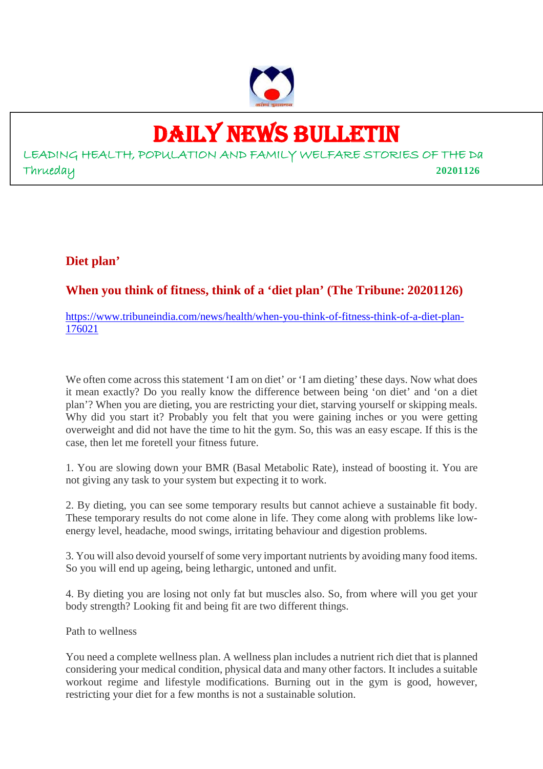

### DAILY NEWS BULLETIN

LEADING HEALTH, POPULATION AND FAMILY WELFARE STORIES OF THE Da Thrueday **20201126**

#### **Diet plan'**

**When you think of fitness, think of a 'diet plan' (The Tribune: 20201126)**

https://www.tribuneindia.com/news/health/when-you-think-of-fitness-think-of-a-diet-plan-176021

We often come across this statement 'I am on diet' or 'I am dieting' these days. Now what does it mean exactly? Do you really know the difference between being 'on diet' and 'on a diet plan'? When you are dieting, you are restricting your diet, starving yourself or skipping meals. Why did you start it? Probably you felt that you were gaining inches or you were getting overweight and did not have the time to hit the gym. So, this was an easy escape. If this is the case, then let me foretell your fitness future.

1. You are slowing down your BMR (Basal Metabolic Rate), instead of boosting it. You are not giving any task to your system but expecting it to work.

2. By dieting, you can see some temporary results but cannot achieve a sustainable fit body. These temporary results do not come alone in life. They come along with problems like lowenergy level, headache, mood swings, irritating behaviour and digestion problems.

3. You will also devoid yourself of some very important nutrients by avoiding many food items. So you will end up ageing, being lethargic, untoned and unfit.

4. By dieting you are losing not only fat but muscles also. So, from where will you get your body strength? Looking fit and being fit are two different things.

Path to wellness

You need a complete wellness plan. A wellness plan includes a nutrient rich diet that is planned considering your medical condition, physical data and many other factors. It includes a suitable workout regime and lifestyle modifications. Burning out in the gym is good, however, restricting your diet for a few months is not a sustainable solution.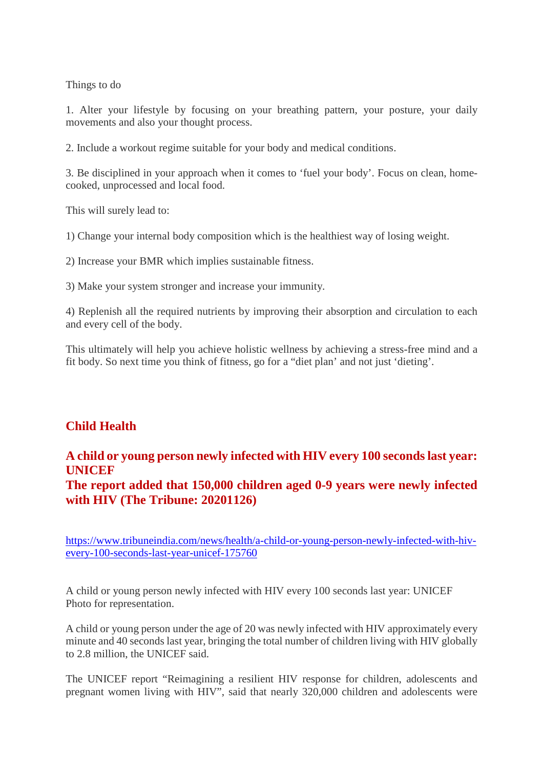Things to do

1. Alter your lifestyle by focusing on your breathing pattern, your posture, your daily movements and also your thought process.

2. Include a workout regime suitable for your body and medical conditions.

3. Be disciplined in your approach when it comes to 'fuel your body'. Focus on clean, homecooked, unprocessed and local food.

This will surely lead to:

1) Change your internal body composition which is the healthiest way of losing weight.

2) Increase your BMR which implies sustainable fitness.

3) Make your system stronger and increase your immunity.

4) Replenish all the required nutrients by improving their absorption and circulation to each and every cell of the body.

This ultimately will help you achieve holistic wellness by achieving a stress-free mind and a fit body. So next time you think of fitness, go for a "diet plan' and not just 'dieting'.

#### **Child Health**

#### **A child or young person newly infected with HIV every 100 seconds last year: UNICEF The report added that 150,000 children aged 0-9 years were newly infected with HIV (The Tribune: 20201126)**

https://www.tribuneindia.com/news/health/a-child-or-young-person-newly-infected-with-hivevery-100-seconds-last-year-unicef-175760

A child or young person newly infected with HIV every 100 seconds last year: UNICEF Photo for representation.

A child or young person under the age of 20 was newly infected with HIV approximately every minute and 40 seconds last year, bringing the total number of children living with HIV globally to 2.8 million, the UNICEF said.

The UNICEF report "Reimagining a resilient HIV response for children, adolescents and pregnant women living with HIV", said that nearly 320,000 children and adolescents were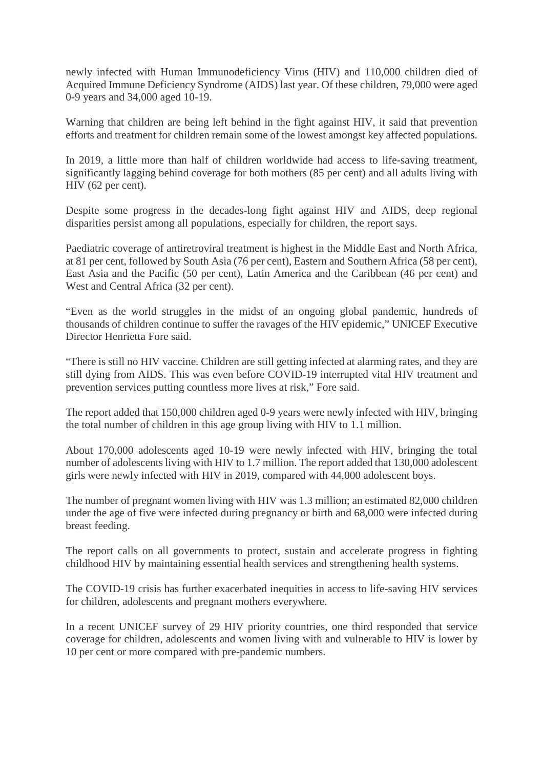newly infected with Human Immunodeficiency Virus (HIV) and 110,000 children died of Acquired Immune Deficiency Syndrome (AIDS) last year. Of these children, 79,000 were aged 0-9 years and 34,000 aged 10-19.

Warning that children are being left behind in the fight against HIV, it said that prevention efforts and treatment for children remain some of the lowest amongst key affected populations.

In 2019, a little more than half of children worldwide had access to life-saving treatment, significantly lagging behind coverage for both mothers (85 per cent) and all adults living with HIV (62 per cent).

Despite some progress in the decades-long fight against HIV and AIDS, deep regional disparities persist among all populations, especially for children, the report says.

Paediatric coverage of antiretroviral treatment is highest in the Middle East and North Africa, at 81 per cent, followed by South Asia (76 per cent), Eastern and Southern Africa (58 per cent), East Asia and the Pacific (50 per cent), Latin America and the Caribbean (46 per cent) and West and Central Africa (32 per cent).

"Even as the world struggles in the midst of an ongoing global pandemic, hundreds of thousands of children continue to suffer the ravages of the HIV epidemic," UNICEF Executive Director Henrietta Fore said.

"There is still no HIV vaccine. Children are still getting infected at alarming rates, and they are still dying from AIDS. This was even before COVID-19 interrupted vital HIV treatment and prevention services putting countless more lives at risk," Fore said.

The report added that 150,000 children aged 0-9 years were newly infected with HIV, bringing the total number of children in this age group living with HIV to 1.1 million.

About 170,000 adolescents aged 10-19 were newly infected with HIV, bringing the total number of adolescents living with HIV to 1.7 million. The report added that 130,000 adolescent girls were newly infected with HIV in 2019, compared with 44,000 adolescent boys.

The number of pregnant women living with HIV was 1.3 million; an estimated 82,000 children under the age of five were infected during pregnancy or birth and 68,000 were infected during breast feeding.

The report calls on all governments to protect, sustain and accelerate progress in fighting childhood HIV by maintaining essential health services and strengthening health systems.

The COVID-19 crisis has further exacerbated inequities in access to life-saving HIV services for children, adolescents and pregnant mothers everywhere.

In a recent UNICEF survey of 29 HIV priority countries, one third responded that service coverage for children, adolescents and women living with and vulnerable to HIV is lower by 10 per cent or more compared with pre-pandemic numbers.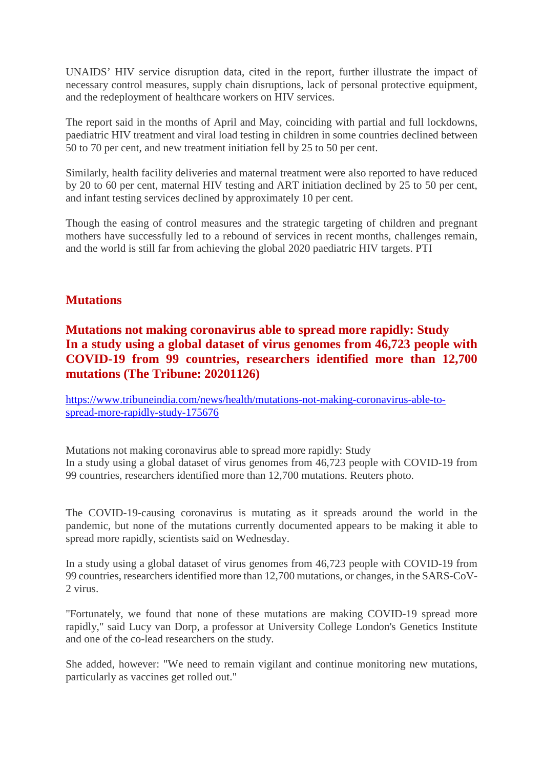UNAIDS' HIV service disruption data, cited in the report, further illustrate the impact of necessary control measures, supply chain disruptions, lack of personal protective equipment, and the redeployment of healthcare workers on HIV services.

The report said in the months of April and May, coinciding with partial and full lockdowns, paediatric HIV treatment and viral load testing in children in some countries declined between 50 to 70 per cent, and new treatment initiation fell by 25 to 50 per cent.

Similarly, health facility deliveries and maternal treatment were also reported to have reduced by 20 to 60 per cent, maternal HIV testing and ART initiation declined by 25 to 50 per cent, and infant testing services declined by approximately 10 per cent.

Though the easing of control measures and the strategic targeting of children and pregnant mothers have successfully led to a rebound of services in recent months, challenges remain, and the world is still far from achieving the global 2020 paediatric HIV targets. PTI

#### **Mutations**

**Mutations not making coronavirus able to spread more rapidly: Study In a study using a global dataset of virus genomes from 46,723 people with COVID-19 from 99 countries, researchers identified more than 12,700 mutations (The Tribune: 20201126)**

https://www.tribuneindia.com/news/health/mutations-not-making-coronavirus-able-tospread-more-rapidly-study-175676

Mutations not making coronavirus able to spread more rapidly: Study In a study using a global dataset of virus genomes from 46,723 people with COVID-19 from 99 countries, researchers identified more than 12,700 mutations. Reuters photo.

The COVID-19-causing coronavirus is mutating as it spreads around the world in the pandemic, but none of the mutations currently documented appears to be making it able to spread more rapidly, scientists said on Wednesday.

In a study using a global dataset of virus genomes from 46,723 people with COVID-19 from 99 countries, researchers identified more than 12,700 mutations, or changes, in the SARS-CoV-2 virus.

"Fortunately, we found that none of these mutations are making COVID-19 spread more rapidly," said Lucy van Dorp, a professor at University College London's Genetics Institute and one of the co-lead researchers on the study.

She added, however: "We need to remain vigilant and continue monitoring new mutations, particularly as vaccines get rolled out."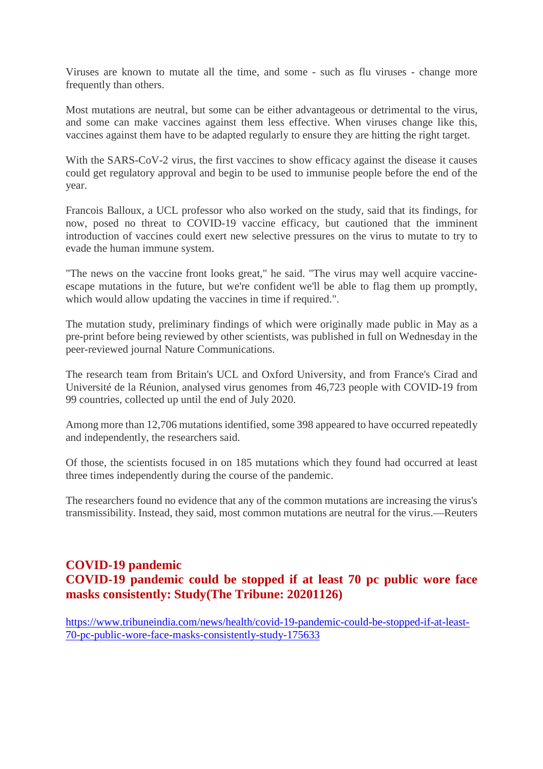Viruses are known to mutate all the time, and some - such as flu viruses - change more frequently than others.

Most mutations are neutral, but some can be either advantageous or detrimental to the virus, and some can make vaccines against them less effective. When viruses change like this, vaccines against them have to be adapted regularly to ensure they are hitting the right target.

With the SARS-CoV-2 virus, the first vaccines to show efficacy against the disease it causes could get regulatory approval and begin to be used to immunise people before the end of the year.

Francois Balloux, a UCL professor who also worked on the study, said that its findings, for now, posed no threat to COVID-19 vaccine efficacy, but cautioned that the imminent introduction of vaccines could exert new selective pressures on the virus to mutate to try to evade the human immune system.

"The news on the vaccine front looks great," he said. "The virus may well acquire vaccineescape mutations in the future, but we're confident we'll be able to flag them up promptly, which would allow updating the vaccines in time if required.".

The mutation study, preliminary findings of which were originally made public in May as a pre-print before being reviewed by other scientists, was published in full on Wednesday in the peer-reviewed journal Nature Communications.

The research team from Britain's UCL and Oxford University, and from France's Cirad and Université de la Réunion, analysed virus genomes from 46,723 people with COVID-19 from 99 countries, collected up until the end of July 2020.

Among more than 12,706 mutations identified, some 398 appeared to have occurred repeatedly and independently, the researchers said.

Of those, the scientists focused in on 185 mutations which they found had occurred at least three times independently during the course of the pandemic.

The researchers found no evidence that any of the common mutations are increasing the virus's transmissibility. Instead, they said, most common mutations are neutral for the virus.—Reuters

#### **COVID-19 pandemic COVID-19 pandemic could be stopped if at least 70 pc public wore face masks consistently: Study(The Tribune: 20201126)**

https://www.tribuneindia.com/news/health/covid-19-pandemic-could-be-stopped-if-at-least-70-pc-public-wore-face-masks-consistently-study-175633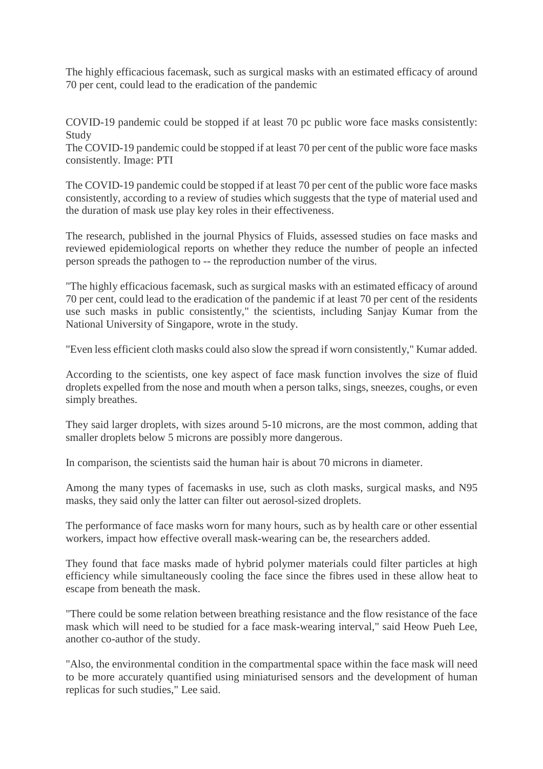The highly efficacious facemask, such as surgical masks with an estimated efficacy of around 70 per cent, could lead to the eradication of the pandemic

COVID-19 pandemic could be stopped if at least 70 pc public wore face masks consistently: Study

The COVID-19 pandemic could be stopped if at least 70 per cent of the public wore face masks consistently. Image: PTI

The COVID-19 pandemic could be stopped if at least 70 per cent of the public wore face masks consistently, according to a review of studies which suggests that the type of material used and the duration of mask use play key roles in their effectiveness.

The research, published in the journal Physics of Fluids, assessed studies on face masks and reviewed epidemiological reports on whether they reduce the number of people an infected person spreads the pathogen to -- the reproduction number of the virus.

"The highly efficacious facemask, such as surgical masks with an estimated efficacy of around 70 per cent, could lead to the eradication of the pandemic if at least 70 per cent of the residents use such masks in public consistently," the scientists, including Sanjay Kumar from the National University of Singapore, wrote in the study.

"Even less efficient cloth masks could also slow the spread if worn consistently," Kumar added.

According to the scientists, one key aspect of face mask function involves the size of fluid droplets expelled from the nose and mouth when a person talks, sings, sneezes, coughs, or even simply breathes.

They said larger droplets, with sizes around 5-10 microns, are the most common, adding that smaller droplets below 5 microns are possibly more dangerous.

In comparison, the scientists said the human hair is about 70 microns in diameter.

Among the many types of facemasks in use, such as cloth masks, surgical masks, and N95 masks, they said only the latter can filter out aerosol-sized droplets.

The performance of face masks worn for many hours, such as by health care or other essential workers, impact how effective overall mask-wearing can be, the researchers added.

They found that face masks made of hybrid polymer materials could filter particles at high efficiency while simultaneously cooling the face since the fibres used in these allow heat to escape from beneath the mask.

"There could be some relation between breathing resistance and the flow resistance of the face mask which will need to be studied for a face mask-wearing interval," said Heow Pueh Lee, another co-author of the study.

"Also, the environmental condition in the compartmental space within the face mask will need to be more accurately quantified using miniaturised sensors and the development of human replicas for such studies," Lee said.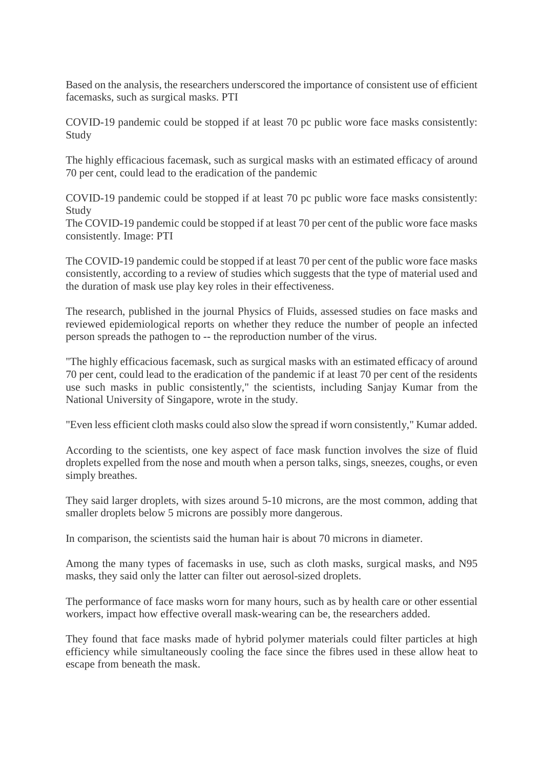Based on the analysis, the researchers underscored the importance of consistent use of efficient facemasks, such as surgical masks. PTI

COVID-19 pandemic could be stopped if at least 70 pc public wore face masks consistently: Study

The highly efficacious facemask, such as surgical masks with an estimated efficacy of around 70 per cent, could lead to the eradication of the pandemic

COVID-19 pandemic could be stopped if at least 70 pc public wore face masks consistently: Study

The COVID-19 pandemic could be stopped if at least 70 per cent of the public wore face masks consistently. Image: PTI

The COVID-19 pandemic could be stopped if at least 70 per cent of the public wore face masks consistently, according to a review of studies which suggests that the type of material used and the duration of mask use play key roles in their effectiveness.

The research, published in the journal Physics of Fluids, assessed studies on face masks and reviewed epidemiological reports on whether they reduce the number of people an infected person spreads the pathogen to -- the reproduction number of the virus.

"The highly efficacious facemask, such as surgical masks with an estimated efficacy of around 70 per cent, could lead to the eradication of the pandemic if at least 70 per cent of the residents use such masks in public consistently," the scientists, including Sanjay Kumar from the National University of Singapore, wrote in the study.

"Even less efficient cloth masks could also slow the spread if worn consistently," Kumar added.

According to the scientists, one key aspect of face mask function involves the size of fluid droplets expelled from the nose and mouth when a person talks, sings, sneezes, coughs, or even simply breathes.

They said larger droplets, with sizes around 5-10 microns, are the most common, adding that smaller droplets below 5 microns are possibly more dangerous.

In comparison, the scientists said the human hair is about 70 microns in diameter.

Among the many types of facemasks in use, such as cloth masks, surgical masks, and N95 masks, they said only the latter can filter out aerosol-sized droplets.

The performance of face masks worn for many hours, such as by health care or other essential workers, impact how effective overall mask-wearing can be, the researchers added.

They found that face masks made of hybrid polymer materials could filter particles at high efficiency while simultaneously cooling the face since the fibres used in these allow heat to escape from beneath the mask.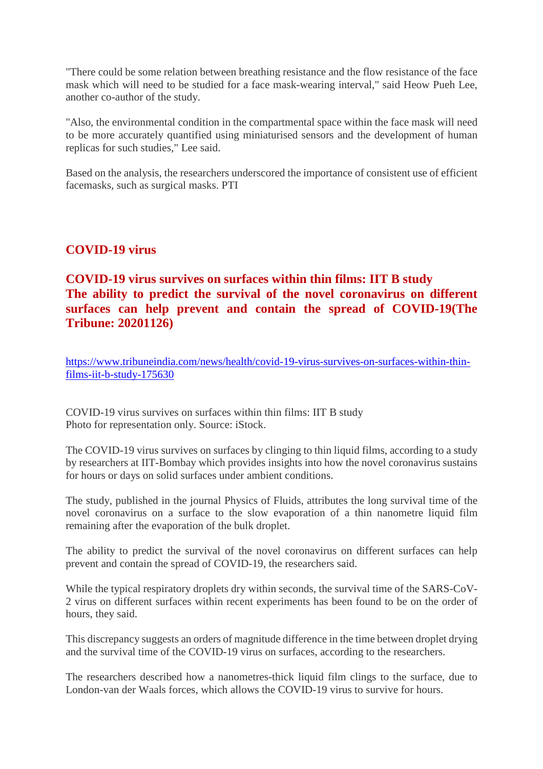"There could be some relation between breathing resistance and the flow resistance of the face mask which will need to be studied for a face mask-wearing interval," said Heow Pueh Lee, another co-author of the study.

"Also, the environmental condition in the compartmental space within the face mask will need to be more accurately quantified using miniaturised sensors and the development of human replicas for such studies," Lee said.

Based on the analysis, the researchers underscored the importance of consistent use of efficient facemasks, such as surgical masks. PTI

#### **COVID-19 virus**

#### **COVID-19 virus survives on surfaces within thin films: IIT B study The ability to predict the survival of the novel coronavirus on different surfaces can help prevent and contain the spread of COVID-19(The Tribune: 20201126)**

https://www.tribuneindia.com/news/health/covid-19-virus-survives-on-surfaces-within-thinfilms-iit-b-study-175630

COVID-19 virus survives on surfaces within thin films: IIT B study Photo for representation only. Source: iStock.

The COVID-19 virus survives on surfaces by clinging to thin liquid films, according to a study by researchers at IIT-Bombay which provides insights into how the novel coronavirus sustains for hours or days on solid surfaces under ambient conditions.

The study, published in the journal Physics of Fluids, attributes the long survival time of the novel coronavirus on a surface to the slow evaporation of a thin nanometre liquid film remaining after the evaporation of the bulk droplet.

The ability to predict the survival of the novel coronavirus on different surfaces can help prevent and contain the spread of COVID-19, the researchers said.

While the typical respiratory droplets dry within seconds, the survival time of the SARS-CoV-2 virus on different surfaces within recent experiments has been found to be on the order of hours, they said.

This discrepancy suggests an orders of magnitude difference in the time between droplet drying and the survival time of the COVID-19 virus on surfaces, according to the researchers.

The researchers described how a nanometres-thick liquid film clings to the surface, due to London-van der Waals forces, which allows the COVID-19 virus to survive for hours.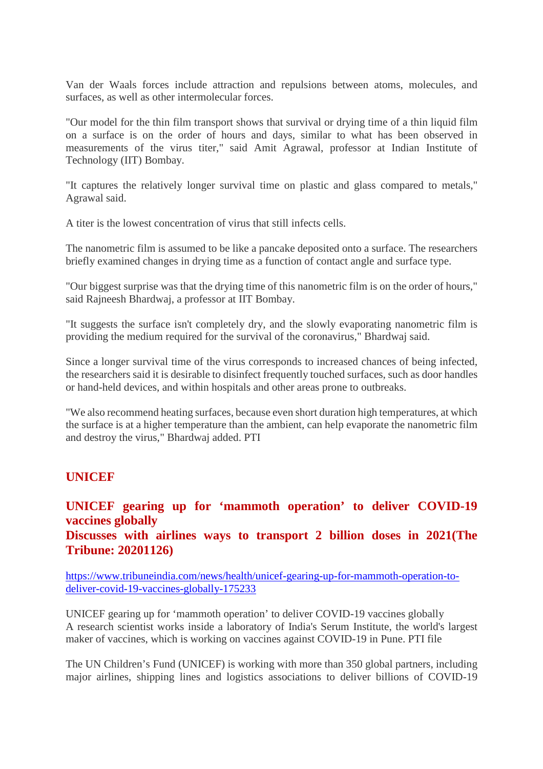Van der Waals forces include attraction and repulsions between atoms, molecules, and surfaces, as well as other intermolecular forces.

"Our model for the thin film transport shows that survival or drying time of a thin liquid film on a surface is on the order of hours and days, similar to what has been observed in measurements of the virus titer," said Amit Agrawal, professor at Indian Institute of Technology (IIT) Bombay.

"It captures the relatively longer survival time on plastic and glass compared to metals," Agrawal said.

A titer is the lowest concentration of virus that still infects cells.

The nanometric film is assumed to be like a pancake deposited onto a surface. The researchers briefly examined changes in drying time as a function of contact angle and surface type.

"Our biggest surprise was that the drying time of this nanometric film is on the order of hours," said Rajneesh Bhardwaj, a professor at IIT Bombay.

"It suggests the surface isn't completely dry, and the slowly evaporating nanometric film is providing the medium required for the survival of the coronavirus," Bhardwaj said.

Since a longer survival time of the virus corresponds to increased chances of being infected, the researchers said it is desirable to disinfect frequently touched surfaces, such as door handles or hand-held devices, and within hospitals and other areas prone to outbreaks.

"We also recommend heating surfaces, because even short duration high temperatures, at which the surface is at a higher temperature than the ambient, can help evaporate the nanometric film and destroy the virus," Bhardwaj added. PTI

#### **UNICEF**

#### **UNICEF gearing up for 'mammoth operation' to deliver COVID-19 vaccines globally Discusses with airlines ways to transport 2 billion doses in 2021(The Tribune: 20201126)**

https://www.tribuneindia.com/news/health/unicef-gearing-up-for-mammoth-operation-todeliver-covid-19-vaccines-globally-175233

UNICEF gearing up for 'mammoth operation' to deliver COVID-19 vaccines globally A research scientist works inside a laboratory of India's Serum Institute, the world's largest maker of vaccines, which is working on vaccines against COVID-19 in Pune. PTI file

The UN Children's Fund (UNICEF) is working with more than 350 global partners, including major airlines, shipping lines and logistics associations to deliver billions of COVID-19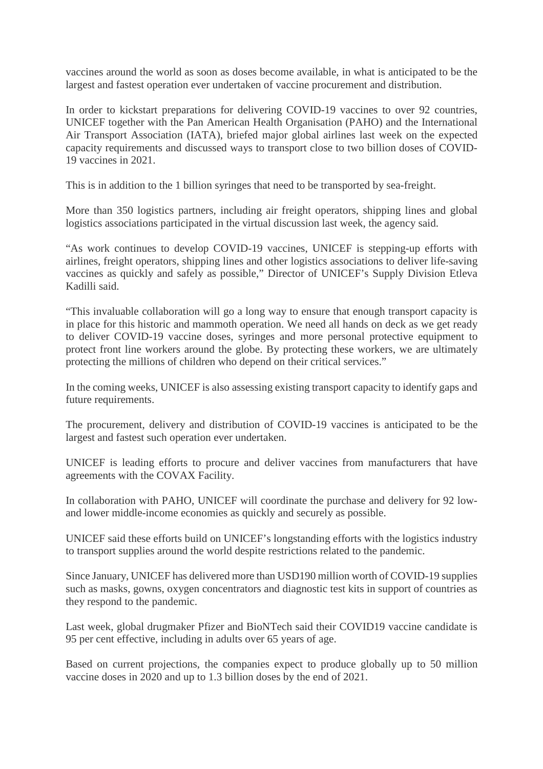vaccines around the world as soon as doses become available, in what is anticipated to be the largest and fastest operation ever undertaken of vaccine procurement and distribution.

In order to kickstart preparations for delivering COVID-19 vaccines to over 92 countries, UNICEF together with the Pan American Health Organisation (PAHO) and the International Air Transport Association (IATA), briefed major global airlines last week on the expected capacity requirements and discussed ways to transport close to two billion doses of COVID-19 vaccines in 2021.

This is in addition to the 1 billion syringes that need to be transported by sea-freight.

More than 350 logistics partners, including air freight operators, shipping lines and global logistics associations participated in the virtual discussion last week, the agency said.

"As work continues to develop COVID-19 vaccines, UNICEF is stepping-up efforts with airlines, freight operators, shipping lines and other logistics associations to deliver life-saving vaccines as quickly and safely as possible," Director of UNICEF's Supply Division Etleva Kadilli said.

"This invaluable collaboration will go a long way to ensure that enough transport capacity is in place for this historic and mammoth operation. We need all hands on deck as we get ready to deliver COVID-19 vaccine doses, syringes and more personal protective equipment to protect front line workers around the globe. By protecting these workers, we are ultimately protecting the millions of children who depend on their critical services."

In the coming weeks, UNICEF is also assessing existing transport capacity to identify gaps and future requirements.

The procurement, delivery and distribution of COVID-19 vaccines is anticipated to be the largest and fastest such operation ever undertaken.

UNICEF is leading efforts to procure and deliver vaccines from manufacturers that have agreements with the COVAX Facility.

In collaboration with PAHO, UNICEF will coordinate the purchase and delivery for 92 lowand lower middle-income economies as quickly and securely as possible.

UNICEF said these efforts build on UNICEF's longstanding efforts with the logistics industry to transport supplies around the world despite restrictions related to the pandemic.

Since January, UNICEF has delivered more than USD190 million worth of COVID-19 supplies such as masks, gowns, oxygen concentrators and diagnostic test kits in support of countries as they respond to the pandemic.

Last week, global drugmaker Pfizer and BioNTech said their COVID19 vaccine candidate is 95 per cent effective, including in adults over 65 years of age.

Based on current projections, the companies expect to produce globally up to 50 million vaccine doses in 2020 and up to 1.3 billion doses by the end of 2021.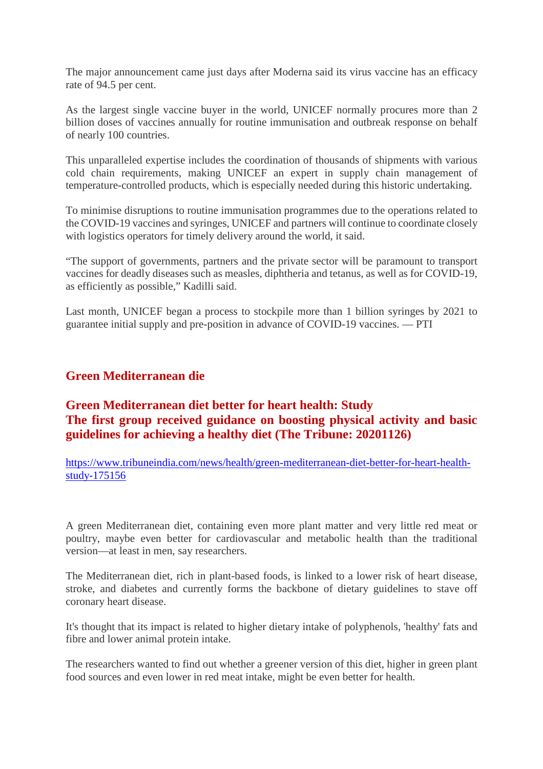The major announcement came just days after Moderna said its virus vaccine has an efficacy rate of 94.5 per cent.

As the largest single vaccine buyer in the world, UNICEF normally procures more than 2 billion doses of vaccines annually for routine immunisation and outbreak response on behalf of nearly 100 countries.

This unparalleled expertise includes the coordination of thousands of shipments with various cold chain requirements, making UNICEF an expert in supply chain management of temperature-controlled products, which is especially needed during this historic undertaking.

To minimise disruptions to routine immunisation programmes due to the operations related to the COVID-19 vaccines and syringes, UNICEF and partners will continue to coordinate closely with logistics operators for timely delivery around the world, it said.

"The support of governments, partners and the private sector will be paramount to transport vaccines for deadly diseases such as measles, diphtheria and tetanus, as well as for COVID-19, as efficiently as possible," Kadilli said.

Last month, UNICEF began a process to stockpile more than 1 billion syringes by 2021 to guarantee initial supply and pre-position in advance of COVID-19 vaccines. — PTI

#### **Green Mediterranean die**

#### **Green Mediterranean diet better for heart health: Study The first group received guidance on boosting physical activity and basic guidelines for achieving a healthy diet (The Tribune: 20201126)**

https://www.tribuneindia.com/news/health/green-mediterranean-diet-better-for-heart-healthstudy-175156

A green Mediterranean diet, containing even more plant matter and very little red meat or poultry, maybe even better for cardiovascular and metabolic health than the traditional version—at least in men, say researchers.

The Mediterranean diet, rich in plant-based foods, is linked to a lower risk of heart disease, stroke, and diabetes and currently forms the backbone of dietary guidelines to stave off coronary heart disease.

It's thought that its impact is related to higher dietary intake of polyphenols, 'healthy' fats and fibre and lower animal protein intake.

The researchers wanted to find out whether a greener version of this diet, higher in green plant food sources and even lower in red meat intake, might be even better for health.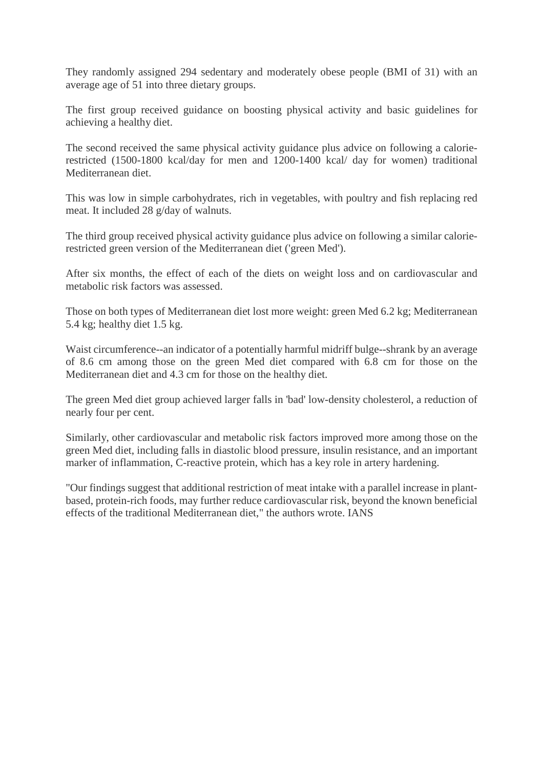They randomly assigned 294 sedentary and moderately obese people (BMI of 31) with an average age of 51 into three dietary groups.

The first group received guidance on boosting physical activity and basic guidelines for achieving a healthy diet.

The second received the same physical activity guidance plus advice on following a calorierestricted (1500-1800 kcal/day for men and 1200-1400 kcal/ day for women) traditional Mediterranean diet.

This was low in simple carbohydrates, rich in vegetables, with poultry and fish replacing red meat. It included 28 g/day of walnuts.

The third group received physical activity guidance plus advice on following a similar calorierestricted green version of the Mediterranean diet ('green Med').

After six months, the effect of each of the diets on weight loss and on cardiovascular and metabolic risk factors was assessed.

Those on both types of Mediterranean diet lost more weight: green Med 6.2 kg; Mediterranean 5.4 kg; healthy diet 1.5 kg.

Waist circumference--an indicator of a potentially harmful midriff bulge--shrank by an average of 8.6 cm among those on the green Med diet compared with 6.8 cm for those on the Mediterranean diet and 4.3 cm for those on the healthy diet.

The green Med diet group achieved larger falls in 'bad' low-density cholesterol, a reduction of nearly four per cent.

Similarly, other cardiovascular and metabolic risk factors improved more among those on the green Med diet, including falls in diastolic blood pressure, insulin resistance, and an important marker of inflammation, C-reactive protein, which has a key role in artery hardening.

"Our findings suggest that additional restriction of meat intake with a parallel increase in plantbased, protein-rich foods, may further reduce cardiovascular risk, beyond the known beneficial effects of the traditional Mediterranean diet," the authors wrote. IANS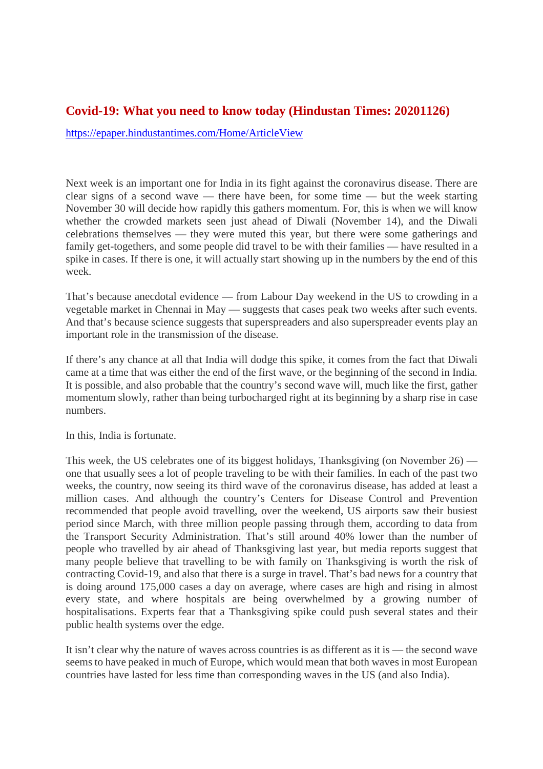#### **Covid-19: What you need to know today (Hindustan Times: 20201126)**

https://epaper.hindustantimes.com/Home/ArticleView

Next week is an important one for India in its fight against the coronavirus disease. There are clear signs of a second wave — there have been, for some time — but the week starting November 30 will decide how rapidly this gathers momentum. For, this is when we will know whether the crowded markets seen just ahead of Diwali (November 14), and the Diwali celebrations themselves — they were muted this year, but there were some gatherings and family get-togethers, and some people did travel to be with their families — have resulted in a spike in cases. If there is one, it will actually start showing up in the numbers by the end of this week.

That's because anecdotal evidence — from Labour Day weekend in the US to crowding in a vegetable market in Chennai in May — suggests that cases peak two weeks after such events. And that's because science suggests that superspreaders and also superspreader events play an important role in the transmission of the disease.

If there's any chance at all that India will dodge this spike, it comes from the fact that Diwali came at a time that was either the end of the first wave, or the beginning of the second in India. It is possible, and also probable that the country's second wave will, much like the first, gather momentum slowly, rather than being turbocharged right at its beginning by a sharp rise in case numbers.

In this, India is fortunate.

This week, the US celebrates one of its biggest holidays, Thanksgiving (on November 26) one that usually sees a lot of people traveling to be with their families. In each of the past two weeks, the country, now seeing its third wave of the coronavirus disease, has added at least a million cases. And although the country's Centers for Disease Control and Prevention recommended that people avoid travelling, over the weekend, US airports saw their busiest period since March, with three million people passing through them, according to data from the Transport Security Administration. That's still around 40% lower than the number of people who travelled by air ahead of Thanksgiving last year, but media reports suggest that many people believe that travelling to be with family on Thanksgiving is worth the risk of contracting Covid-19, and also that there is a surge in travel. That's bad news for a country that is doing around 175,000 cases a day on average, where cases are high and rising in almost every state, and where hospitals are being overwhelmed by a growing number of hospitalisations. Experts fear that a Thanksgiving spike could push several states and their public health systems over the edge.

It isn't clear why the nature of waves across countries is as different as it is — the second wave seems to have peaked in much of Europe, which would mean that both waves in most European countries have lasted for less time than corresponding waves in the US (and also India).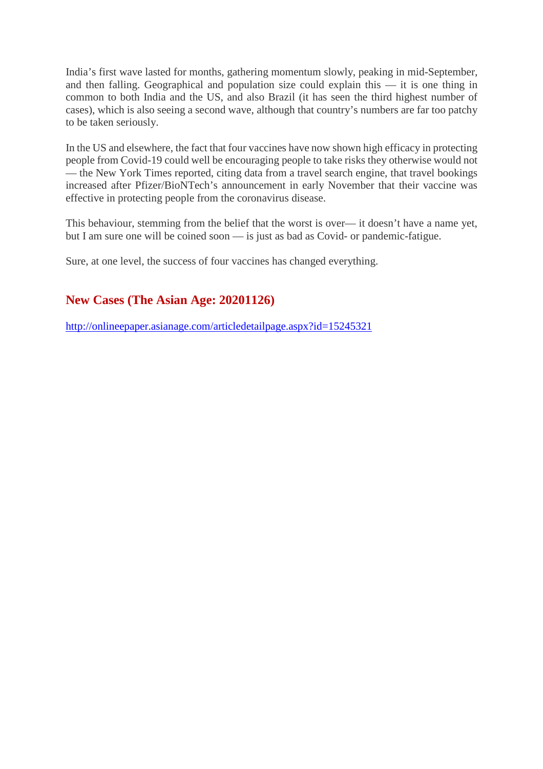India's first wave lasted for months, gathering momentum slowly, peaking in mid-September, and then falling. Geographical and population size could explain this — it is one thing in common to both India and the US, and also Brazil (it has seen the third highest number of cases), which is also seeing a second wave, although that country's numbers are far too patchy to be taken seriously.

In the US and elsewhere, the fact that four vaccines have now shown high efficacy in protecting people from Covid-19 could well be encouraging people to take risks they otherwise would not — the New York Times reported, citing data from a travel search engine, that travel bookings increased after Pfizer/BioNTech's announcement in early November that their vaccine was effective in protecting people from the coronavirus disease.

This behaviour, stemming from the belief that the worst is over— it doesn't have a name yet, but I am sure one will be coined soon — is just as bad as Covid- or pandemic-fatigue.

Sure, at one level, the success of four vaccines has changed everything.

#### **New Cases (The Asian Age: 20201126)**

http://onlineepaper.asianage.com/articledetailpage.aspx?id=15245321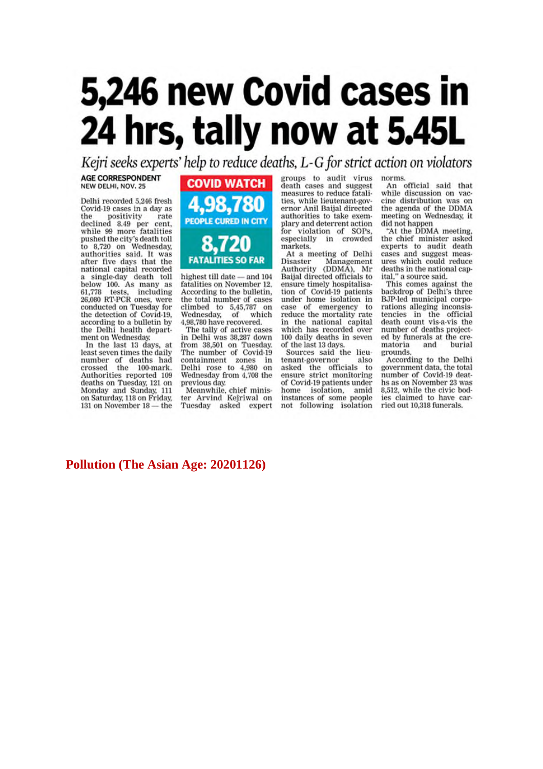## 5,246 new Covid cases in 24 hrs, tally now at 5.45L

Kejri seeks experts' help to reduce deaths, L-G for strict action on violators

#### **AGE CORRESPONDENT** NEW DELHI, NOV. 25

Delhi recorded 5.246 fresh Covid-19 cases in a day as the positivity rate<br>declined 8.49 per cent,<br>while 99 more fatalities<br>pushed the city's death toll<br>to 8,720 on Wednesday, authorities said. It was after five days that the national capital recorded a single-day death toll<br>below 100. As many as<br>61,778 tests, including<br>26,080 RT-PCR ones, were conducted on Tuesday for the detection of Covid-19, according to a bulletin by the Delhi health department on Wednesday.

In the last 13 days, at least seven times the daily number of deaths had<br>crossed the 100-mark. Authorities reported 109<br>deaths on Tuesday, 121 on Monday and Sunday, 111<br>on Saturday, 118 on Friday, 131 on November 18 - the



highest till date - and 104 fatalities on November 12. According to the bulletin, the total number of cases climbed to 5,45,787 on<br>Wednesday, of which 4,98,780 have recovered.

The tally of active cases in Delhi was 38,287 down from 38,501 on Tuesday.<br>The number of Covid-19 containment zones in<br>Delhi rose to 4,980 on<br>Wednesday from 4,708 the previous day.

Meanwhile, chief minis-<br>ter Arvind Kejriwal on Tuesday asked expert

groups to audit virus death cases and suggest measures to reduce fatalities, while lieutenant-governor Anil Baijal directed authorities to take exemplary and deterrent action for violation of SOPs,<br>especially in crowded markets.

At a meeting of Delhi Disaster Management Authority (DDMA), Mr Baijal directed officials to ensure timely hospitalisation of Covid-19 patients under home isolation in case of emergency to<br>reduce the mortality rate in the national capital which has recorded over 100 daily deaths in seven of the last 13 days.

Sources said the lieutenant-governor also asked the officials to<br>ensure strict monitoring of Covid-19 patients under home isolation, amid<br>instances of some people not following isolation

norms.

An official said that<br>while discussion on vaccine distribution was on the agenda of the DDMA<br>meeting on Wednesday, it did not happen

"At the DDMA meeting,<br>the chief minister asked experts to audit death cases and suggest measures which could reduce deaths in the national capital," a source said.

This comes against the backdrop of Delhi's three BJP-led municipal corporations alleging inconsistencies in the official<br>death count vis-a-vis the number of deaths projected by funerals at the crematoria and burial grounds.

According to the Delhi government data, the total number of Covid-19 deaths as on November 23 was 8.512, while the civic bodies claimed to have carried out 10,318 funerals.

#### **Pollution (The Asian Age: 20201126)**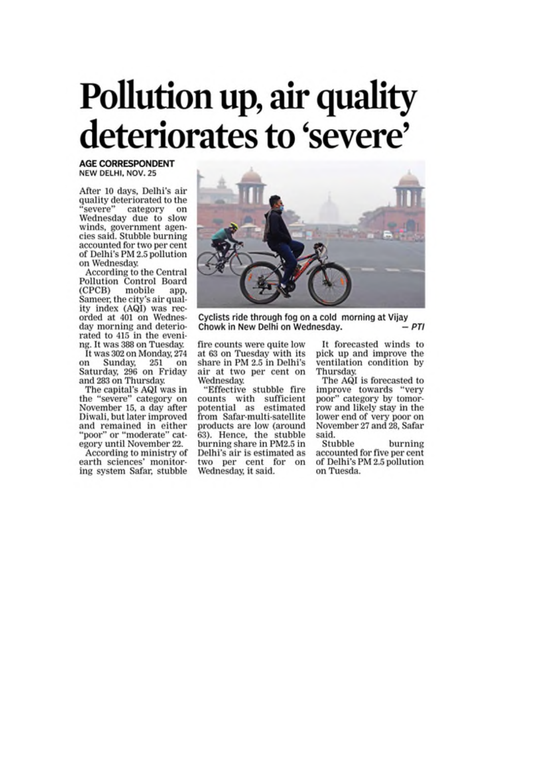## Pollution up, air quality deteriorates to 'severe'

**AGE CORRESPONDENT** NEW DELHI, NOV. 25

After 10 days, Delhi's air quality deteriorated to the 'severe" category on Wednesday due to slow winds, government agencies said. Stubble burning accounted for two per cent of Delhi's PM 2.5 pollution on Wednesday.

According to the Central Pollution Control Board (CPCB) mobile app, Sameer, the city's air quality index (AQI) was recorded at 401 on Wednesday morning and deteriorated to 415 in the evening. It was 388 on Tuesday. It was 302 on Monday, 274 Sunday, 251 on on Saturday, 296 on Friday

and 283 on Thursday. The capital's AQI was in the "severe" category on<br>November 15, a day after Diwali, but later improved and remained in either "poor" or "moderate" cat-<br>egory until November 22.

According to ministry of earth sciences' monitoring system Safar, stubble



Cyclists ride through fog on a cold morning at Vijay - PTI Chowk in New Delhi on Wednesday.

fire counts were quite low at 63 on Tuesday with its share in PM 2.5 in Delhi's air at two per cent on Wednesday.

"Effective stubble fire counts with sufficient potential as estimated from Safar-multi-satellite products are low (around 63). Hence, the stubble burning share in PM2.5 in Delhi's air is estimated as two per cent for on Wednesday, it said.

It forecasted winds to pick up and improve the ventilation condition by Thursday

The AQI is forecasted to improve towards "very poor" category by tomorrow and likely stay in the lower end of very poor on November 27 and 28, Safar said.

Stubble burning accounted for five per cent of Delhi's PM 2.5 pollution on Tuesda.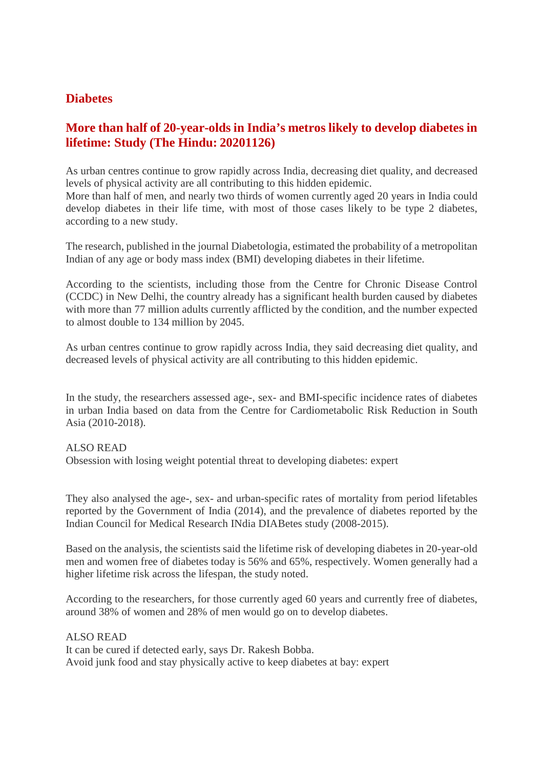#### **Diabetes**

#### **More than half of 20-year-olds in India's metros likely to develop diabetes in lifetime: Study (The Hindu: 20201126)**

As urban centres continue to grow rapidly across India, decreasing diet quality, and decreased levels of physical activity are all contributing to this hidden epidemic.

More than half of men, and nearly two thirds of women currently aged 20 years in India could develop diabetes in their life time, with most of those cases likely to be type 2 diabetes, according to a new study.

The research, published in the journal Diabetologia, estimated the probability of a metropolitan Indian of any age or body mass index (BMI) developing diabetes in their lifetime.

According to the scientists, including those from the Centre for Chronic Disease Control (CCDC) in New Delhi, the country already has a significant health burden caused by diabetes with more than 77 million adults currently afflicted by the condition, and the number expected to almost double to 134 million by 2045.

As urban centres continue to grow rapidly across India, they said decreasing diet quality, and decreased levels of physical activity are all contributing to this hidden epidemic.

In the study, the researchers assessed age-, sex- and BMI-specific incidence rates of diabetes in urban India based on data from the Centre for Cardiometabolic Risk Reduction in South Asia (2010-2018).

#### ALSO READ

Obsession with losing weight potential threat to developing diabetes: expert

They also analysed the age-, sex- and urban-specific rates of mortality from period lifetables reported by the Government of India (2014), and the prevalence of diabetes reported by the Indian Council for Medical Research INdia DIABetes study (2008-2015).

Based on the analysis, the scientists said the lifetime risk of developing diabetes in 20-year-old men and women free of diabetes today is 56% and 65%, respectively. Women generally had a higher lifetime risk across the lifespan, the study noted.

According to the researchers, for those currently aged 60 years and currently free of diabetes, around 38% of women and 28% of men would go on to develop diabetes.

#### ALSO READ

It can be cured if detected early, says Dr. Rakesh Bobba. Avoid junk food and stay physically active to keep diabetes at bay: expert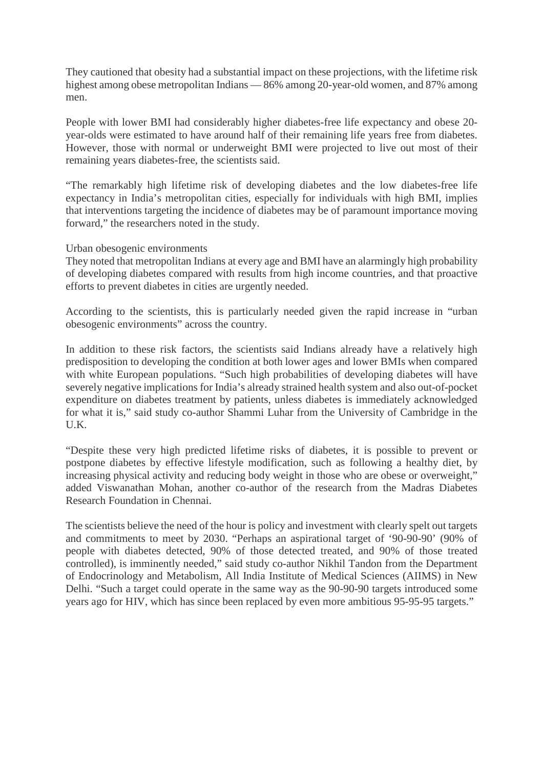They cautioned that obesity had a substantial impact on these projections, with the lifetime risk highest among obese metropolitan Indians — 86% among 20-year-old women, and 87% among men.

People with lower BMI had considerably higher diabetes-free life expectancy and obese 20 year-olds were estimated to have around half of their remaining life years free from diabetes. However, those with normal or underweight BMI were projected to live out most of their remaining years diabetes-free, the scientists said.

"The remarkably high lifetime risk of developing diabetes and the low diabetes-free life expectancy in India's metropolitan cities, especially for individuals with high BMI, implies that interventions targeting the incidence of diabetes may be of paramount importance moving forward," the researchers noted in the study.

#### Urban obesogenic environments

They noted that metropolitan Indians at every age and BMI have an alarmingly high probability of developing diabetes compared with results from high income countries, and that proactive efforts to prevent diabetes in cities are urgently needed.

According to the scientists, this is particularly needed given the rapid increase in "urban obesogenic environments" across the country.

In addition to these risk factors, the scientists said Indians already have a relatively high predisposition to developing the condition at both lower ages and lower BMIs when compared with white European populations. "Such high probabilities of developing diabetes will have severely negative implications for India's already strained health system and also out-of-pocket expenditure on diabetes treatment by patients, unless diabetes is immediately acknowledged for what it is," said study co-author Shammi Luhar from the University of Cambridge in the U.K.

"Despite these very high predicted lifetime risks of diabetes, it is possible to prevent or postpone diabetes by effective lifestyle modification, such as following a healthy diet, by increasing physical activity and reducing body weight in those who are obese or overweight," added Viswanathan Mohan, another co-author of the research from the Madras Diabetes Research Foundation in Chennai.

The scientists believe the need of the hour is policy and investment with clearly spelt out targets and commitments to meet by 2030. "Perhaps an aspirational target of '90-90-90' (90% of people with diabetes detected, 90% of those detected treated, and 90% of those treated controlled), is imminently needed," said study co-author Nikhil Tandon from the Department of Endocrinology and Metabolism, All India Institute of Medical Sciences (AIIMS) in New Delhi. "Such a target could operate in the same way as the 90-90-90 targets introduced some years ago for HIV, which has since been replaced by even more ambitious 95-95-95 targets."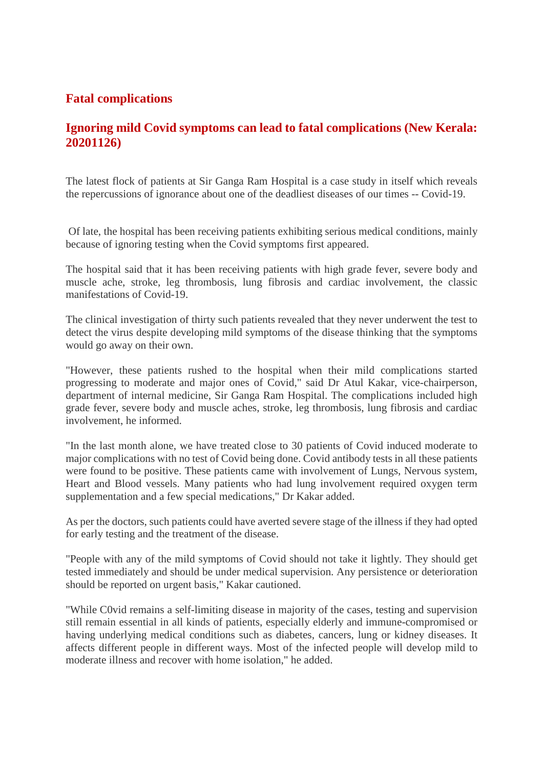#### **Fatal complications**

#### **Ignoring mild Covid symptoms can lead to fatal complications (New Kerala: 20201126)**

The latest flock of patients at Sir Ganga Ram Hospital is a case study in itself which reveals the repercussions of ignorance about one of the deadliest diseases of our times -- Covid-19.

Of late, the hospital has been receiving patients exhibiting serious medical conditions, mainly because of ignoring testing when the Covid symptoms first appeared.

The hospital said that it has been receiving patients with high grade fever, severe body and muscle ache, stroke, leg thrombosis, lung fibrosis and cardiac involvement, the classic manifestations of Covid-19.

The clinical investigation of thirty such patients revealed that they never underwent the test to detect the virus despite developing mild symptoms of the disease thinking that the symptoms would go away on their own.

"However, these patients rushed to the hospital when their mild complications started progressing to moderate and major ones of Covid," said Dr Atul Kakar, vice-chairperson, department of internal medicine, Sir Ganga Ram Hospital. The complications included high grade fever, severe body and muscle aches, stroke, leg thrombosis, lung fibrosis and cardiac involvement, he informed.

"In the last month alone, we have treated close to 30 patients of Covid induced moderate to major complications with no test of Covid being done. Covid antibody tests in all these patients were found to be positive. These patients came with involvement of Lungs, Nervous system, Heart and Blood vessels. Many patients who had lung involvement required oxygen term supplementation and a few special medications," Dr Kakar added.

As per the doctors, such patients could have averted severe stage of the illness if they had opted for early testing and the treatment of the disease.

"People with any of the mild symptoms of Covid should not take it lightly. They should get tested immediately and should be under medical supervision. Any persistence or deterioration should be reported on urgent basis," Kakar cautioned.

"While C0vid remains a self-limiting disease in majority of the cases, testing and supervision still remain essential in all kinds of patients, especially elderly and immune-compromised or having underlying medical conditions such as diabetes, cancers, lung or kidney diseases. It affects different people in different ways. Most of the infected people will develop mild to moderate illness and recover with home isolation," he added.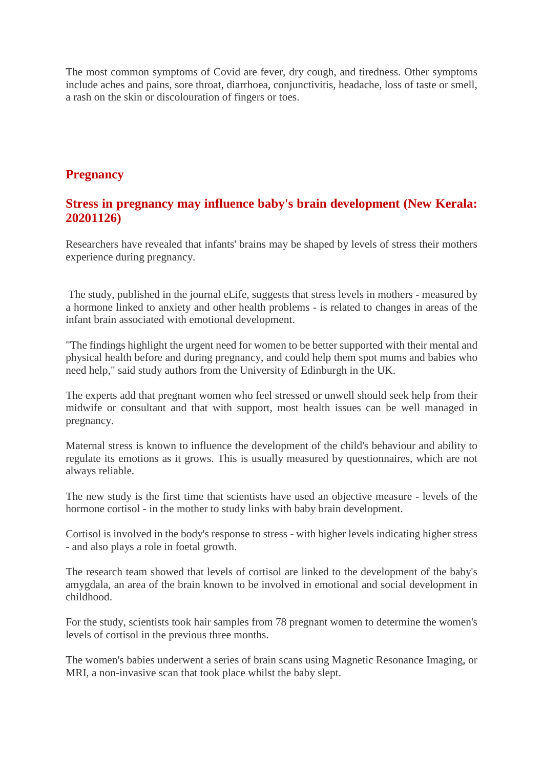The most common symptoms of Covid are fever, dry cough, and tiredness. Other symptoms include aches and pains, sore throat, diarrhoea, conjunctivitis, headache, loss of taste or smell, a rash on the skin or discolouration of fingers or toes.

#### **Pregnancy**

#### **Stress in pregnancy may influence baby's brain development (New Kerala: 20201126)**

Researchers have revealed that infants' brains may be shaped by levels of stress their mothers experience during pregnancy.

The study, published in the journal eLife, suggests that stress levels in mothers - measured by a hormone linked to anxiety and other health problems - is related to changes in areas of the infant brain associated with emotional development.

"The findings highlight the urgent need for women to be better supported with their mental and physical health before and during pregnancy, and could help them spot mums and babies who need help," said study authors from the University of Edinburgh in the UK.

The experts add that pregnant women who feel stressed or unwell should seek help from their midwife or consultant and that with support, most health issues can be well managed in pregnancy.

Maternal stress is known to influence the development of the child's behaviour and ability to regulate its emotions as it grows. This is usually measured by questionnaires, which are not always reliable.

The new study is the first time that scientists have used an objective measure - levels of the hormone cortisol - in the mother to study links with baby brain development.

Cortisol is involved in the body's response to stress - with higher levels indicating higher stress - and also plays a role in foetal growth.

The research team showed that levels of cortisol are linked to the development of the baby's amygdala, an area of the brain known to be involved in emotional and social development in childhood.

For the study, scientists took hair samples from 78 pregnant women to determine the women's levels of cortisol in the previous three months.

The women's babies underwent a series of brain scans using Magnetic Resonance Imaging, or MRI, a non-invasive scan that took place whilst the baby slept.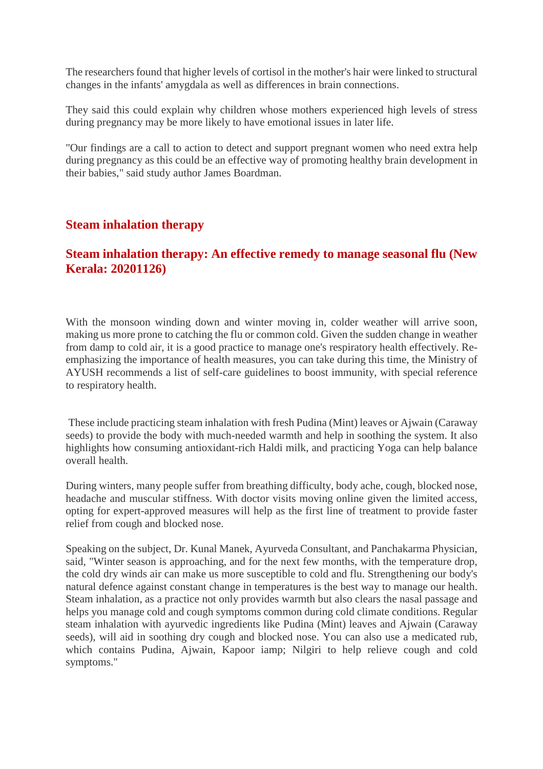The researchers found that higher levels of cortisol in the mother's hair were linked to structural changes in the infants' amygdala as well as differences in brain connections.

They said this could explain why children whose mothers experienced high levels of stress during pregnancy may be more likely to have emotional issues in later life.

"Our findings are a call to action to detect and support pregnant women who need extra help during pregnancy as this could be an effective way of promoting healthy brain development in their babies," said study author James Boardman.

#### **Steam inhalation therapy**

#### **Steam inhalation therapy: An effective remedy to manage seasonal flu (New Kerala: 20201126)**

With the monsoon winding down and winter moving in, colder weather will arrive soon, making us more prone to catching the flu or common cold. Given the sudden change in weather from damp to cold air, it is a good practice to manage one's respiratory health effectively. Reemphasizing the importance of health measures, you can take during this time, the Ministry of AYUSH recommends a list of self-care guidelines to boost immunity, with special reference to respiratory health.

These include practicing steam inhalation with fresh Pudina (Mint) leaves or Ajwain (Caraway seeds) to provide the body with much-needed warmth and help in soothing the system. It also highlights how consuming antioxidant-rich Haldi milk, and practicing Yoga can help balance overall health.

During winters, many people suffer from breathing difficulty, body ache, cough, blocked nose, headache and muscular stiffness. With doctor visits moving online given the limited access, opting for expert-approved measures will help as the first line of treatment to provide faster relief from cough and blocked nose.

Speaking on the subject, Dr. Kunal Manek, Ayurveda Consultant, and Panchakarma Physician, said, "Winter season is approaching, and for the next few months, with the temperature drop, the cold dry winds air can make us more susceptible to cold and flu. Strengthening our body's natural defence against constant change in temperatures is the best way to manage our health. Steam inhalation, as a practice not only provides warmth but also clears the nasal passage and helps you manage cold and cough symptoms common during cold climate conditions. Regular steam inhalation with ayurvedic ingredients like Pudina (Mint) leaves and Ajwain (Caraway seeds), will aid in soothing dry cough and blocked nose. You can also use a medicated rub, which contains Pudina, Ajwain, Kapoor iamp; Nilgiri to help relieve cough and cold symptoms."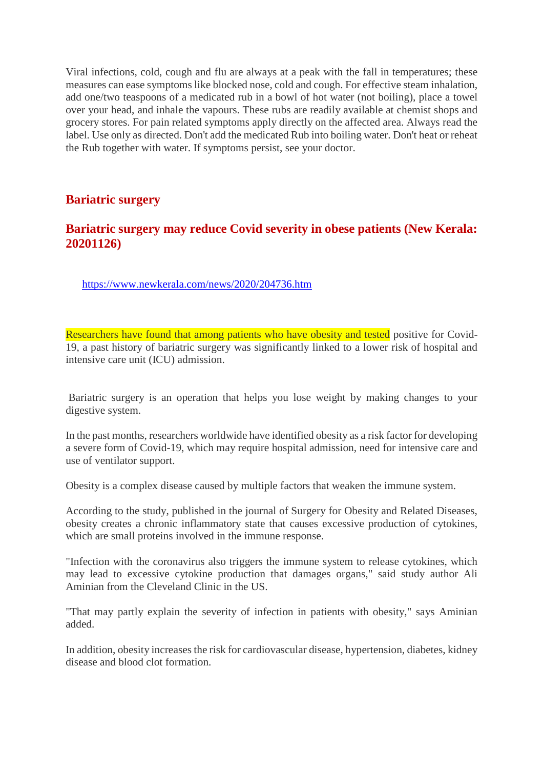Viral infections, cold, cough and flu are always at a peak with the fall in temperatures; these measures can ease symptoms like blocked nose, cold and cough. For effective steam inhalation, add one/two teaspoons of a medicated rub in a bowl of hot water (not boiling), place a towel over your head, and inhale the vapours. These rubs are readily available at chemist shops and grocery stores. For pain related symptoms apply directly on the affected area. Always read the label. Use only as directed. Don't add the medicated Rub into boiling water. Don't heat or reheat the Rub together with water. If symptoms persist, see your doctor.

#### **Bariatric surgery**

#### **Bariatric surgery may reduce Covid severity in obese patients (New Kerala: 20201126)**

https://www.newkerala.com/news/2020/204736.htm

Researchers have found that among patients who have obesity and tested positive for Covid-19, a past history of bariatric surgery was significantly linked to a lower risk of hospital and intensive care unit (ICU) admission.

Bariatric surgery is an operation that helps you lose weight by making changes to your digestive system.

In the past months, researchers worldwide have identified obesity as a risk factor for developing a severe form of Covid-19, which may require hospital admission, need for intensive care and use of ventilator support.

Obesity is a complex disease caused by multiple factors that weaken the immune system.

According to the study, published in the journal of Surgery for Obesity and Related Diseases, obesity creates a chronic inflammatory state that causes excessive production of cytokines, which are small proteins involved in the immune response.

"Infection with the coronavirus also triggers the immune system to release cytokines, which may lead to excessive cytokine production that damages organs," said study author Ali Aminian from the Cleveland Clinic in the US.

"That may partly explain the severity of infection in patients with obesity," says Aminian added.

In addition, obesity increases the risk for cardiovascular disease, hypertension, diabetes, kidney disease and blood clot formation.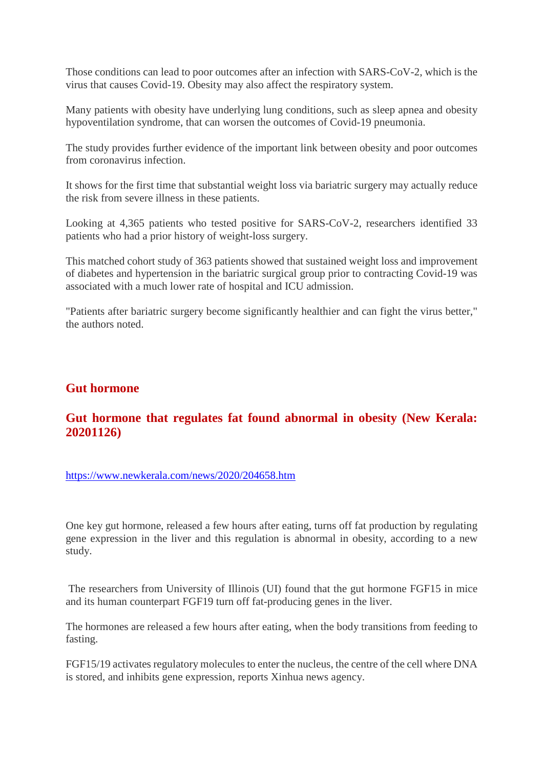Those conditions can lead to poor outcomes after an infection with SARS-CoV-2, which is the virus that causes Covid-19. Obesity may also affect the respiratory system.

Many patients with obesity have underlying lung conditions, such as sleep apnea and obesity hypoventilation syndrome, that can worsen the outcomes of Covid-19 pneumonia.

The study provides further evidence of the important link between obesity and poor outcomes from coronavirus infection.

It shows for the first time that substantial weight loss via bariatric surgery may actually reduce the risk from severe illness in these patients.

Looking at 4,365 patients who tested positive for SARS-CoV-2, researchers identified 33 patients who had a prior history of weight-loss surgery.

This matched cohort study of 363 patients showed that sustained weight loss and improvement of diabetes and hypertension in the bariatric surgical group prior to contracting Covid-19 was associated with a much lower rate of hospital and ICU admission.

"Patients after bariatric surgery become significantly healthier and can fight the virus better," the authors noted.

#### **Gut hormone**

#### **Gut hormone that regulates fat found abnormal in obesity (New Kerala: 20201126)**

https://www.newkerala.com/news/2020/204658.htm

One key gut hormone, released a few hours after eating, turns off fat production by regulating gene expression in the liver and this regulation is abnormal in obesity, according to a new study.

The researchers from University of Illinois (UI) found that the gut hormone FGF15 in mice and its human counterpart FGF19 turn off fat-producing genes in the liver.

The hormones are released a few hours after eating, when the body transitions from feeding to fasting.

FGF15/19 activates regulatory molecules to enter the nucleus, the centre of the cell where DNA is stored, and inhibits gene expression, reports Xinhua news agency.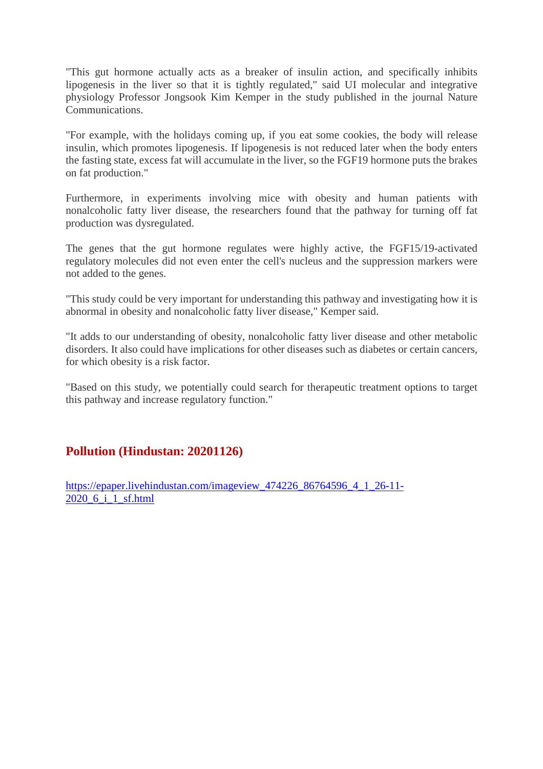"This gut hormone actually acts as a breaker of insulin action, and specifically inhibits lipogenesis in the liver so that it is tightly regulated," said UI molecular and integrative physiology Professor Jongsook Kim Kemper in the study published in the journal Nature Communications.

"For example, with the holidays coming up, if you eat some cookies, the body will release insulin, which promotes lipogenesis. If lipogenesis is not reduced later when the body enters the fasting state, excess fat will accumulate in the liver, so the FGF19 hormone puts the brakes on fat production."

Furthermore, in experiments involving mice with obesity and human patients with nonalcoholic fatty liver disease, the researchers found that the pathway for turning off fat production was dysregulated.

The genes that the gut hormone regulates were highly active, the FGF15/19-activated regulatory molecules did not even enter the cell's nucleus and the suppression markers were not added to the genes.

"This study could be very important for understanding this pathway and investigating how it is abnormal in obesity and nonalcoholic fatty liver disease," Kemper said.

"It adds to our understanding of obesity, nonalcoholic fatty liver disease and other metabolic disorders. It also could have implications for other diseases such as diabetes or certain cancers, for which obesity is a risk factor.

"Based on this study, we potentially could search for therapeutic treatment options to target this pathway and increase regulatory function."

#### **Pollution (Hindustan: 20201126)**

https://epaper.livehindustan.com/imageview\_474226\_86764596\_4\_1\_26-11- 2020 6 i 1 sf.html